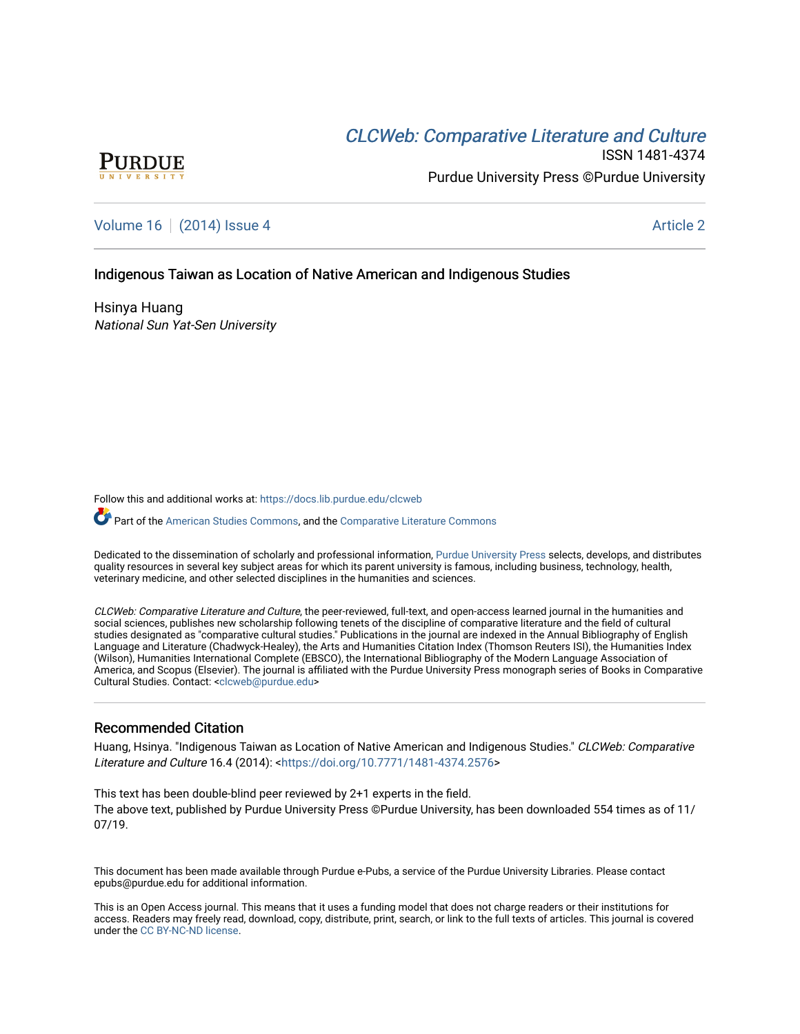# **CLCW[eb: Comparative Liter](https://docs.lib.purdue.edu/clcweb)ature and Culture**



ISSN 1481-4374 Purdue University Press ©Purdue University

## [Volume 16](https://docs.lib.purdue.edu/clcweb/vol16) | [\(2014\) Issue 4](https://docs.lib.purdue.edu/clcweb/vol16/iss4) Article 2

## Indigenous Taiwan as Location of Native American and Indigenous Studies

Hsinya Huang National Sun Yat-Sen University

Follow this and additional works at: [https://docs.lib.purdue.edu/clcweb](https://docs.lib.purdue.edu/clcweb?utm_source=docs.lib.purdue.edu%2Fclcweb%2Fvol16%2Fiss4%2F2&utm_medium=PDF&utm_campaign=PDFCoverPages)

Part of the [American Studies Commons](http://network.bepress.com/hgg/discipline/439?utm_source=docs.lib.purdue.edu%2Fclcweb%2Fvol16%2Fiss4%2F2&utm_medium=PDF&utm_campaign=PDFCoverPages), and the [Comparative Literature Commons](http://network.bepress.com/hgg/discipline/454?utm_source=docs.lib.purdue.edu%2Fclcweb%2Fvol16%2Fiss4%2F2&utm_medium=PDF&utm_campaign=PDFCoverPages)

Dedicated to the dissemination of scholarly and professional information, [Purdue University Press](http://www.thepress.purdue.edu/) selects, develops, and distributes quality resources in several key subject areas for which its parent university is famous, including business, technology, health, veterinary medicine, and other selected disciplines in the humanities and sciences.

CLCWeb: Comparative Literature and Culture, the peer-reviewed, full-text, and open-access learned journal in the humanities and social sciences, publishes new scholarship following tenets of the discipline of comparative literature and the field of cultural studies designated as "comparative cultural studies." Publications in the journal are indexed in the Annual Bibliography of English Language and Literature (Chadwyck-Healey), the Arts and Humanities Citation Index (Thomson Reuters ISI), the Humanities Index (Wilson), Humanities International Complete (EBSCO), the International Bibliography of the Modern Language Association of America, and Scopus (Elsevier). The journal is affiliated with the Purdue University Press monograph series of Books in Comparative Cultural Studies. Contact: [<clcweb@purdue.edu](mailto:clcweb@purdue.edu)>

### Recommended Citation

Huang, Hsinya. "Indigenous Taiwan as Location of Native American and Indigenous Studies." CLCWeb: Comparative Literature and Culture 16.4 (2014): <<https://doi.org/10.7771/1481-4374.2576>>

This text has been double-blind peer reviewed by 2+1 experts in the field. The above text, published by Purdue University Press ©Purdue University, has been downloaded 554 times as of 11/ 07/19.

This document has been made available through Purdue e-Pubs, a service of the Purdue University Libraries. Please contact epubs@purdue.edu for additional information.

This is an Open Access journal. This means that it uses a funding model that does not charge readers or their institutions for access. Readers may freely read, download, copy, distribute, print, search, or link to the full texts of articles. This journal is covered under the [CC BY-NC-ND license.](https://creativecommons.org/licenses/by-nc-nd/4.0/)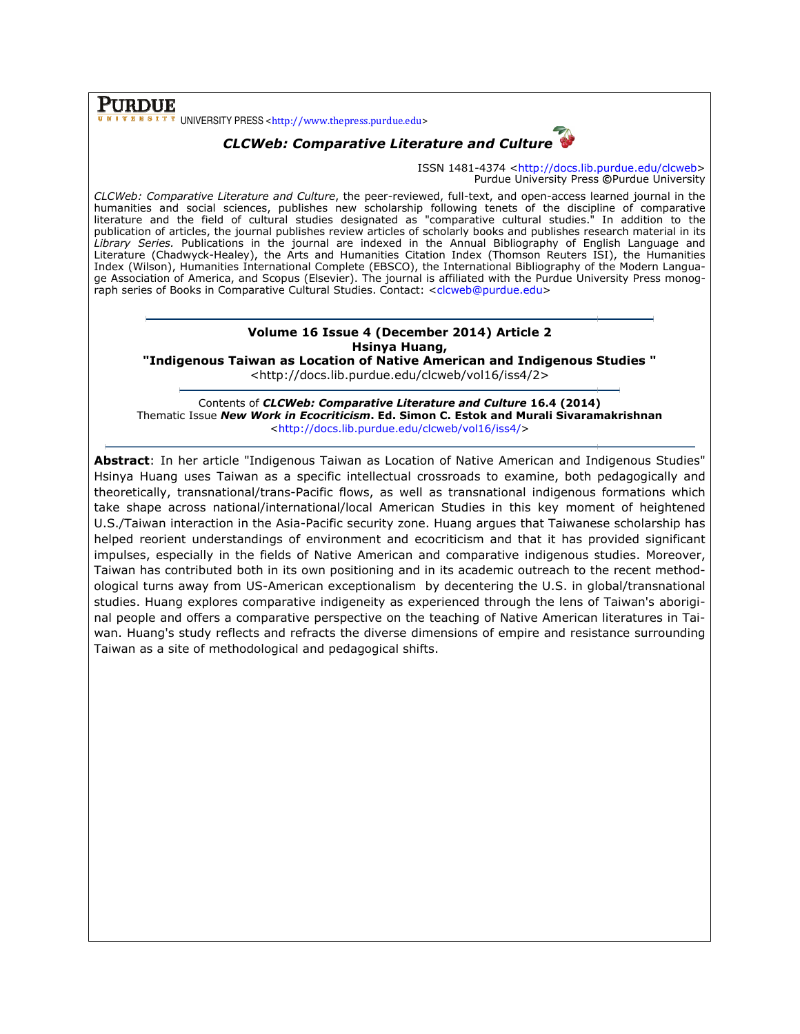PURDUE UNIVERSITY PRESS <http://www.thepress.purdue.edu>



ISSN 1481-4374 <http://docs.lib.purdue.edu/clcweb Purdue University Press ©Purdue University

CLCWeb: Comparative Literature and Culture, the peer-reviewed, full-text, and open-access learned journal in the humanities and social sciences, publishes new scholarship following tenets of the discipline of comparative *CLCWeb: Comparative Literature and Culture*, the peer-reviewed, full-text, and open-access learned journal in the<br>humanities and social sciences, publishes new scholarship following tenets of the discipline of comparative publication of articles, the journal publishes review articles of scholarly books and publishes research material in its publication of articles, the journal publishes review articles of scholarly books and publishes research material in its<br>*Library Series. P*ublications in the journal are indexed in the Annual Bibliography of English Langu Literature (Chadwyck-Healey), the Arts and Humanities Citation Index (Thomson Reuters ISI), the Humanities Index (Wilson), Humanities International Complete (EBSCO), the International Bibliography of the Modern Langua ge Association of America, and Scopus (Elsevier). The journal is affiliated with the Purdue University Press monograph series of Books in Comparative Cultural Studies. Contact: <clcweb@purdue.edu> ure (Chadwyck-Healey), the Arts and Humanities Citation Index (Thomson Reuters ISI), the Humanitie:<br>(Wilson), Humanities International Complete (EBSCO), the International Bibliography of the Modern Langua<br>ociation of Ameri Langua-

## Volume 16 I Issue 4 (December 2014) Article 2 Hsinya Huang,

"Indigenous Taiwan as Location of Native American and Indigenous Studies "

<http://docs.li <http://docs.lib.purdue.edu/clcweb/vol16/iss4/2>

Contents of *CLCWeb: Comparative Literature and Culture* 16.4 (2014) Thematic Issue New Work in Ecocriticism. Ed. Simon C. Estok and Murali Sivaramakrishnan <http://docs.lib.purdue.edu/clcweb/vol16/iss4/ http://docs.lib.purdue.edu/clcweb/vol16/iss4/>

Abstract: In her article "Indigenous Taiwan as Location of Native American and Indigenous Studies" **Abstract**: In her article "Indigenous Taiwan as Location of Native American and Indigenous Studies"<br>Hsinya Huang uses Taiwan as a specific intellectual crossroads to examine, both pedagogically and Hsinya Huang uses Taiwan as a specific intellectual crossroads to examine, both pedagogically and<br>theoretically, transnational/trans-Pacific flows, as well as transnational indigenous formations which take shape across national/international/local American Studies in this key moment of heightened U.S./Taiwan interaction in the Asia-Pacific security zone. Huang argues that Taiwanese scholarship has take shape across national/international/local American Studies in this key moment of heightened<br>U.S./Taiwan interaction in the Asia-Pacific security zone. Huang argues that Taiwanese scholarship has<br>helped reorient unders impulses, especially in the fields of Native American and comparative indigenous studies. Moreover, impulses, especially in the fields of Native American and comparative indigenous studies. Moreover,<br>Taiwan has contributed both in its own positioning and in its academic outreach to the recent methodological turns away from US-American American exceptionalism by decentering the U.S. in global/transnational ological turns away from US-American exceptionalism by decentering the U.S. in global/transnational<br>studies. Huang explores comparative indigeneity as experienced through the lens of Taiwan's aborigistudies. Huang explores comparative indigeneity as experienced through the lens of Taiwan's aborigi-<br>nal people and offers a comparative perspective on the teaching of Native American literatures in Taiwan. Huang's study reflects and refracts the diverse dimensions of empire and resistance surrounding Taiwan as a site of methodological and pedagogical shifts. ISSN 1481-4374 - Practive and operators and operators and operators and pedagogical herotations are well between functions are the discollent of interting disconsitions the discollent and operators are the discollent of t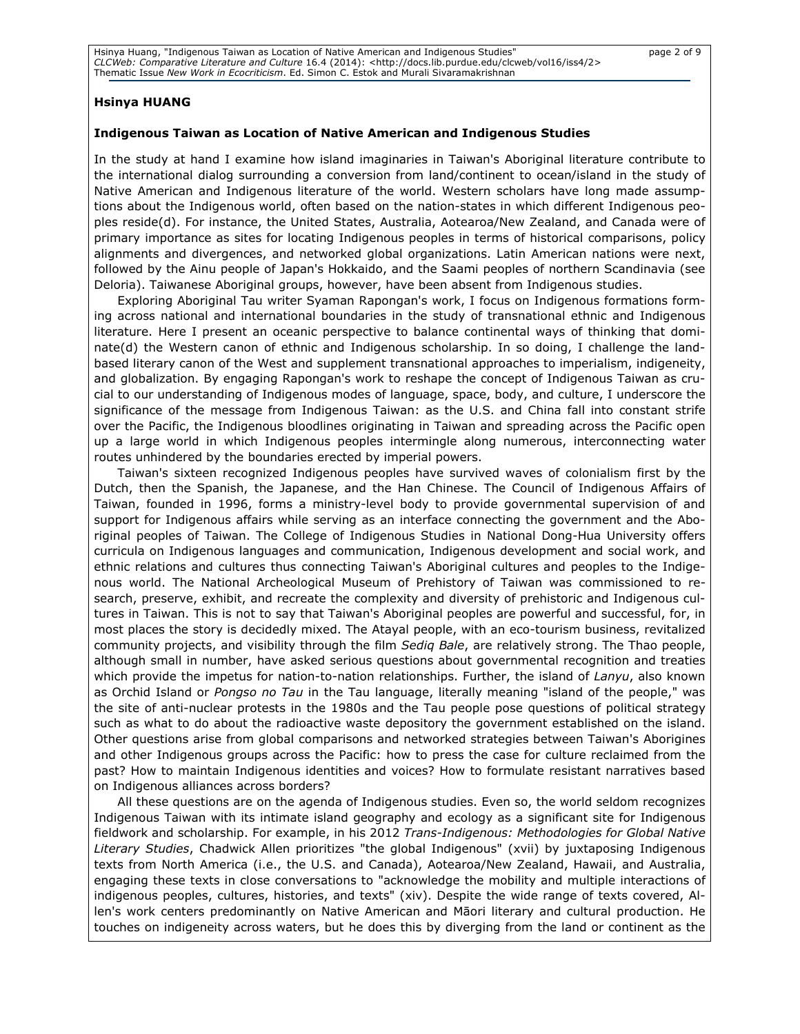#### Hsinya HUANG

#### Indigenous Taiwan as Location of Native American and Indigenous Studies

In the study at hand I examine how island imaginaries in Taiwan's Aboriginal literature contribute to the international dialog surrounding a conversion from land/continent to ocean/island in the study of Native American and Indigenous literature of the world. Western scholars have long made assumptions about the Indigenous world, often based on the nation-states in which different Indigenous peoples reside(d). For instance, the United States, Australia, Aotearoa/New Zealand, and Canada were of primary importance as sites for locating Indigenous peoples in terms of historical comparisons, policy alignments and divergences, and networked global organizations. Latin American nations were next, followed by the Ainu people of Japan's Hokkaido, and the Saami peoples of northern Scandinavia (see Deloria). Taiwanese Aboriginal groups, however, have been absent from Indigenous studies.

Exploring Aboriginal Tau writer Syaman Rapongan's work, I focus on Indigenous formations forming across national and international boundaries in the study of transnational ethnic and Indigenous literature. Here I present an oceanic perspective to balance continental ways of thinking that dominate(d) the Western canon of ethnic and Indigenous scholarship. In so doing, I challenge the landbased literary canon of the West and supplement transnational approaches to imperialism, indigeneity, and globalization. By engaging Rapongan's work to reshape the concept of Indigenous Taiwan as crucial to our understanding of Indigenous modes of language, space, body, and culture, I underscore the significance of the message from Indigenous Taiwan: as the U.S. and China fall into constant strife over the Pacific, the Indigenous bloodlines originating in Taiwan and spreading across the Pacific open up a large world in which Indigenous peoples intermingle along numerous, interconnecting water routes unhindered by the boundaries erected by imperial powers.

Taiwan's sixteen recognized Indigenous peoples have survived waves of colonialism first by the Dutch, then the Spanish, the Japanese, and the Han Chinese. The Council of Indigenous Affairs of Taiwan, founded in 1996, forms a ministry-level body to provide governmental supervision of and support for Indigenous affairs while serving as an interface connecting the government and the Aboriginal peoples of Taiwan. The College of Indigenous Studies in National Dong-Hua University offers curricula on Indigenous languages and communication, Indigenous development and social work, and ethnic relations and cultures thus connecting Taiwan's Aboriginal cultures and peoples to the Indigenous world. The National Archeological Museum of Prehistory of Taiwan was commissioned to research, preserve, exhibit, and recreate the complexity and diversity of prehistoric and Indigenous cultures in Taiwan. This is not to say that Taiwan's Aboriginal peoples are powerful and successful, for, in most places the story is decidedly mixed. The Atayal people, with an eco-tourism business, revitalized community projects, and visibility through the film Sediq Bale, are relatively strong. The Thao people, although small in number, have asked serious questions about governmental recognition and treaties which provide the impetus for nation-to-nation relationships. Further, the island of Lanyu, also known as Orchid Island or Pongso no Tau in the Tau language, literally meaning "island of the people," was the site of anti-nuclear protests in the 1980s and the Tau people pose questions of political strategy such as what to do about the radioactive waste depository the government established on the island. Other questions arise from global comparisons and networked strategies between Taiwan's Aborigines and other Indigenous groups across the Pacific: how to press the case for culture reclaimed from the past? How to maintain Indigenous identities and voices? How to formulate resistant narratives based on Indigenous alliances across borders?

All these questions are on the agenda of Indigenous studies. Even so, the world seldom recognizes Indigenous Taiwan with its intimate island geography and ecology as a significant site for Indigenous fieldwork and scholarship. For example, in his 2012 Trans-Indigenous: Methodologies for Global Native Literary Studies, Chadwick Allen prioritizes "the global Indigenous" (xvii) by juxtaposing Indigenous texts from North America (i.e., the U.S. and Canada), Aotearoa/New Zealand, Hawaii, and Australia, engaging these texts in close conversations to "acknowledge the mobility and multiple interactions of indigenous peoples, cultures, histories, and texts" (xiv). Despite the wide range of texts covered, Allen's work centers predominantly on Native American and Māori literary and cultural production. He touches on indigeneity across waters, but he does this by diverging from the land or continent as the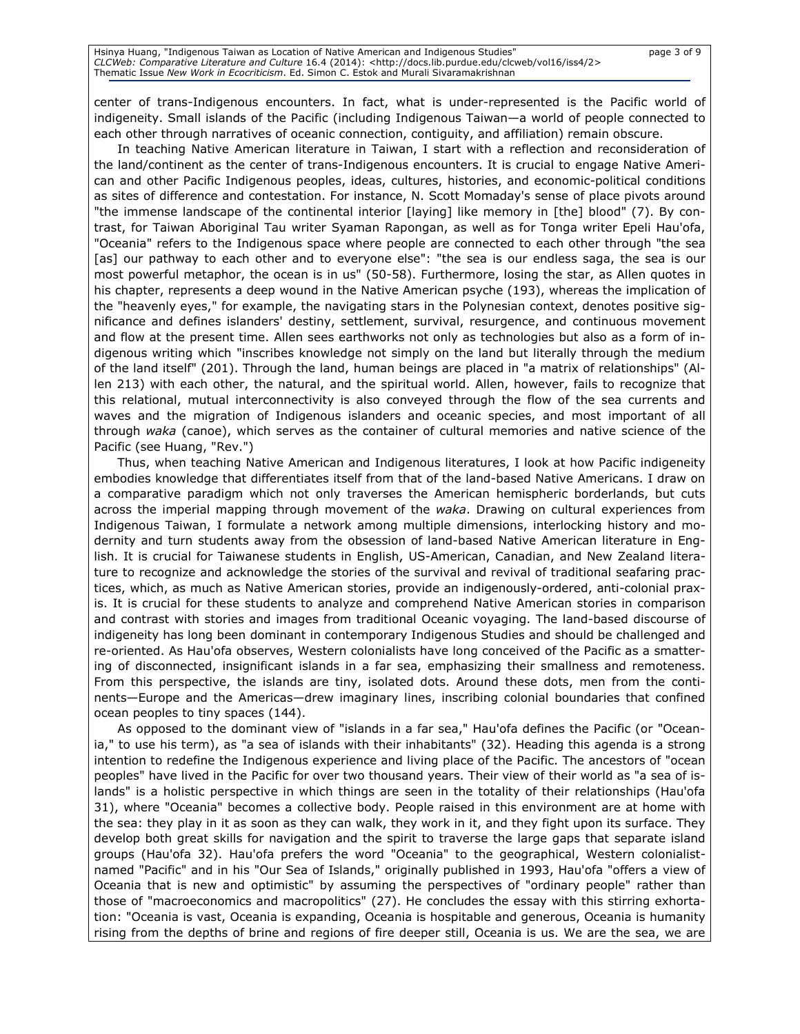center of trans-Indigenous encounters. In fact, what is under-represented is the Pacific world of

indigeneity. Small islands of the Pacific (including Indigenous Taiwan—a world of people connected to each other through narratives of oceanic connection, contiguity, and affiliation) remain obscure.

In teaching Native American literature in Taiwan, I start with a reflection and reconsideration of the land/continent as the center of trans-Indigenous encounters. It is crucial to engage Native American and other Pacific Indigenous peoples, ideas, cultures, histories, and economic-political conditions as sites of difference and contestation. For instance, N. Scott Momaday's sense of place pivots around "the immense landscape of the continental interior [laying] like memory in [the] blood" (7). By contrast, for Taiwan Aboriginal Tau writer Syaman Rapongan, as well as for Tonga writer Epeli Hau'ofa, "Oceania" refers to the Indigenous space where people are connected to each other through "the sea [as] our pathway to each other and to everyone else": "the sea is our endless saga, the sea is our most powerful metaphor, the ocean is in us" (50-58). Furthermore, losing the star, as Allen quotes in his chapter, represents a deep wound in the Native American psyche (193), whereas the implication of the "heavenly eyes," for example, the navigating stars in the Polynesian context, denotes positive significance and defines islanders' destiny, settlement, survival, resurgence, and continuous movement and flow at the present time. Allen sees earthworks not only as technologies but also as a form of indigenous writing which "inscribes knowledge not simply on the land but literally through the medium of the land itself" (201). Through the land, human beings are placed in "a matrix of relationships" (Allen 213) with each other, the natural, and the spiritual world. Allen, however, fails to recognize that this relational, mutual interconnectivity is also conveyed through the flow of the sea currents and waves and the migration of Indigenous islanders and oceanic species, and most important of all through waka (canoe), which serves as the container of cultural memories and native science of the Pacific (see Huang, "Rev.")

Thus, when teaching Native American and Indigenous literatures, I look at how Pacific indigeneity embodies knowledge that differentiates itself from that of the land-based Native Americans. I draw on a comparative paradigm which not only traverses the American hemispheric borderlands, but cuts across the imperial mapping through movement of the waka. Drawing on cultural experiences from Indigenous Taiwan, I formulate a network among multiple dimensions, interlocking history and modernity and turn students away from the obsession of land-based Native American literature in English. It is crucial for Taiwanese students in English, US-American, Canadian, and New Zealand literature to recognize and acknowledge the stories of the survival and revival of traditional seafaring practices, which, as much as Native American stories, provide an indigenously-ordered, anti-colonial praxis. It is crucial for these students to analyze and comprehend Native American stories in comparison and contrast with stories and images from traditional Oceanic voyaging. The land-based discourse of indigeneity has long been dominant in contemporary Indigenous Studies and should be challenged and re-oriented. As Hau'ofa observes, Western colonialists have long conceived of the Pacific as a smattering of disconnected, insignificant islands in a far sea, emphasizing their smallness and remoteness. From this perspective, the islands are tiny, isolated dots. Around these dots, men from the continents—Europe and the Americas—drew imaginary lines, inscribing colonial boundaries that confined ocean peoples to tiny spaces (144).

As opposed to the dominant view of "islands in a far sea," Hau'ofa defines the Pacific (or "Oceania," to use his term), as "a sea of islands with their inhabitants" (32). Heading this agenda is a strong intention to redefine the Indigenous experience and living place of the Pacific. The ancestors of "ocean peoples" have lived in the Pacific for over two thousand years. Their view of their world as "a sea of islands" is a holistic perspective in which things are seen in the totality of their relationships (Hau'ofa 31), where "Oceania" becomes a collective body. People raised in this environment are at home with the sea: they play in it as soon as they can walk, they work in it, and they fight upon its surface. They develop both great skills for navigation and the spirit to traverse the large gaps that separate island groups (Hau'ofa 32). Hau'ofa prefers the word "Oceania" to the geographical, Western colonialistnamed "Pacific" and in his "Our Sea of Islands," originally published in 1993, Hau'ofa "offers a view of Oceania that is new and optimistic" by assuming the perspectives of "ordinary people" rather than those of "macroeconomics and macropolitics" (27). He concludes the essay with this stirring exhortation: "Oceania is vast, Oceania is expanding, Oceania is hospitable and generous, Oceania is humanity rising from the depths of brine and regions of fire deeper still, Oceania is us. We are the sea, we are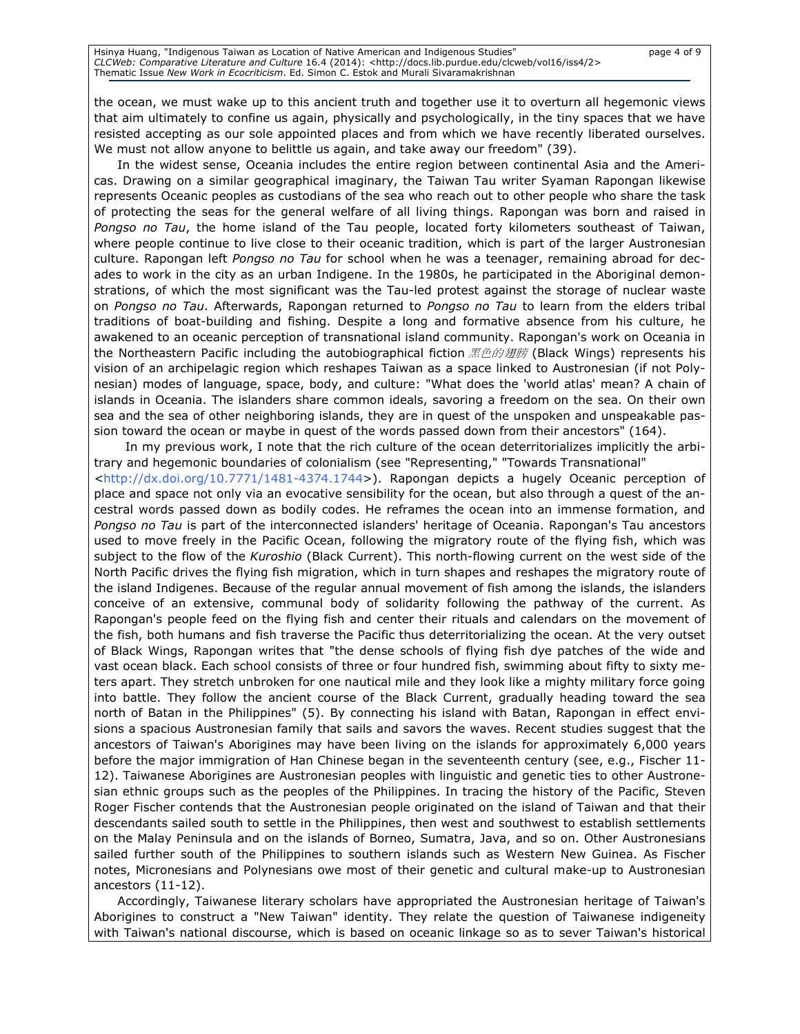the ocean, we must wake up to this ancient truth and together use it to overturn all hegemonic views that aim ultimately to confine us again, physically and psychologically, in the tiny spaces that we have resisted accepting as our sole appointed places and from which we have recently liberated ourselves. We must not allow anyone to belittle us again, and take away our freedom" (39).

In the widest sense, Oceania includes the entire region between continental Asia and the Americas. Drawing on a similar geographical imaginary, the Taiwan Tau writer Syaman Rapongan likewise represents Oceanic peoples as custodians of the sea who reach out to other people who share the task of protecting the seas for the general welfare of all living things. Rapongan was born and raised in Pongso no Tau, the home island of the Tau people, located forty kilometers southeast of Taiwan, where people continue to live close to their oceanic tradition, which is part of the larger Austronesian culture. Rapongan left Pongso no Tau for school when he was a teenager, remaining abroad for decades to work in the city as an urban Indigene. In the 1980s, he participated in the Aboriginal demonstrations, of which the most significant was the Tau-led protest against the storage of nuclear waste on Pongso no Tau. Afterwards, Rapongan returned to Pongso no Tau to learn from the elders tribal traditions of boat-building and fishing. Despite a long and formative absence from his culture, he awakened to an oceanic perception of transnational island community. Rapongan's work on Oceania in the Northeastern Pacific including the autobiographical fiction 黑色的翅膀 (Black Wings) represents his vision of an archipelagic region which reshapes Taiwan as a space linked to Austronesian (if not Polynesian) modes of language, space, body, and culture: "What does the 'world atlas' mean? A chain of islands in Oceania. The islanders share common ideals, savoring a freedom on the sea. On their own sea and the sea of other neighboring islands, they are in quest of the unspoken and unspeakable passion toward the ocean or maybe in quest of the words passed down from their ancestors" (164).

In my previous work, I note that the rich culture of the ocean deterritorializes implicitly the arbitrary and hegemonic boundaries of colonialism (see "Representing," "Towards Transnational"

<http://dx.doi.org/10.7771/1481-4374.1744>). Rapongan depicts a hugely Oceanic perception of place and space not only via an evocative sensibility for the ocean, but also through a quest of the ancestral words passed down as bodily codes. He reframes the ocean into an immense formation, and Pongso no Tau is part of the interconnected islanders' heritage of Oceania. Rapongan's Tau ancestors used to move freely in the Pacific Ocean, following the migratory route of the flying fish, which was subject to the flow of the Kuroshio (Black Current). This north-flowing current on the west side of the North Pacific drives the flying fish migration, which in turn shapes and reshapes the migratory route of the island Indigenes. Because of the regular annual movement of fish among the islands, the islanders conceive of an extensive, communal body of solidarity following the pathway of the current. As Rapongan's people feed on the flying fish and center their rituals and calendars on the movement of the fish, both humans and fish traverse the Pacific thus deterritorializing the ocean. At the very outset of Black Wings, Rapongan writes that "the dense schools of flying fish dye patches of the wide and vast ocean black. Each school consists of three or four hundred fish, swimming about fifty to sixty meters apart. They stretch unbroken for one nautical mile and they look like a mighty military force going into battle. They follow the ancient course of the Black Current, gradually heading toward the sea north of Batan in the Philippines" (5). By connecting his island with Batan, Rapongan in effect envisions a spacious Austronesian family that sails and savors the waves. Recent studies suggest that the ancestors of Taiwan's Aborigines may have been living on the islands for approximately 6,000 years before the major immigration of Han Chinese began in the seventeenth century (see, e.g., Fischer 11- 12). Taiwanese Aborigines are Austronesian peoples with linguistic and genetic ties to other Austronesian ethnic groups such as the peoples of the Philippines. In tracing the history of the Pacific, Steven Roger Fischer contends that the Austronesian people originated on the island of Taiwan and that their descendants sailed south to settle in the Philippines, then west and southwest to establish settlements on the Malay Peninsula and on the islands of Borneo, Sumatra, Java, and so on. Other Austronesians sailed further south of the Philippines to southern islands such as Western New Guinea. As Fischer notes, Micronesians and Polynesians owe most of their genetic and cultural make-up to Austronesian ancestors (11-12).

Accordingly, Taiwanese literary scholars have appropriated the Austronesian heritage of Taiwan's Aborigines to construct a "New Taiwan" identity. They relate the question of Taiwanese indigeneity with Taiwan's national discourse, which is based on oceanic linkage so as to sever Taiwan's historical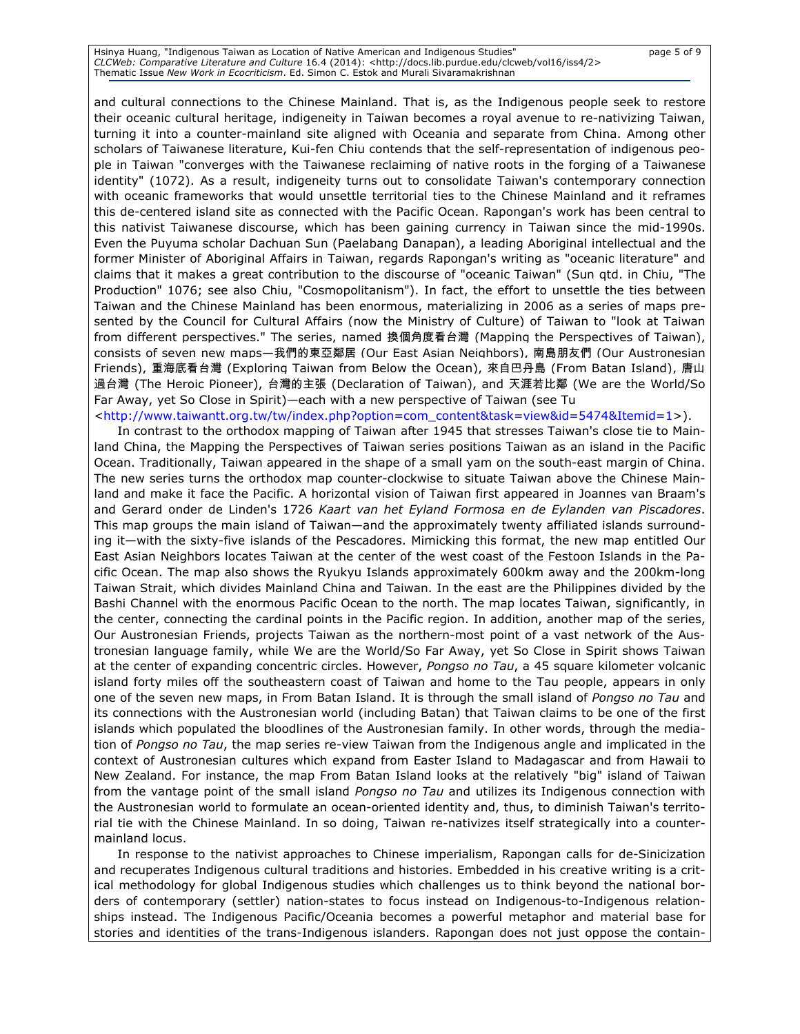Hsinya Huang, "Indigenous Taiwan as Location of Native American and Indigenous Studies" page 5 of 9 CLCWeb: Comparative Literature and Culture 16.4 (2014): <http://docs.lib.purdue.edu/clcweb/vol16/iss4/2> Thematic Issue New Work in Ecocriticism. Ed. Simon C. Estok and Murali Sivaramakrishnan

and cultural connections to the Chinese Mainland. That is, as the Indigenous people seek to restore their oceanic cultural heritage, indigeneity in Taiwan becomes a royal avenue to re-nativizing Taiwan, turning it into a counter-mainland site aligned with Oceania and separate from China. Among other scholars of Taiwanese literature, Kui-fen Chiu contends that the self-representation of indigenous people in Taiwan "converges with the Taiwanese reclaiming of native roots in the forging of a Taiwanese identity" (1072). As a result, indigeneity turns out to consolidate Taiwan's contemporary connection with oceanic frameworks that would unsettle territorial ties to the Chinese Mainland and it reframes this de-centered island site as connected with the Pacific Ocean. Rapongan's work has been central to this nativist Taiwanese discourse, which has been gaining currency in Taiwan since the mid-1990s. Even the Puyuma scholar Dachuan Sun (Paelabang Danapan), a leading Aboriginal intellectual and the former Minister of Aboriginal Affairs in Taiwan, regards Rapongan's writing as "oceanic literature" and claims that it makes a great contribution to the discourse of "oceanic Taiwan" (Sun qtd. in Chiu, "The Production" 1076; see also Chiu, "Cosmopolitanism"). In fact, the effort to unsettle the ties between Taiwan and the Chinese Mainland has been enormous, materializing in 2006 as a series of maps presented by the Council for Cultural Affairs (now the Ministry of Culture) of Taiwan to "look at Taiwan from different perspectives." The series, named 換個角度看台灣 (Mapping the Perspectives of Taiwan), consists of seven new maps—我們的東亞鄰居 (Our East Asian Neighbors), 南島朋友們 (Our Austronesian Friends), 重海底看台灣 (Exploring Taiwan from Below the Ocean), 來自巴丹島 (From Batan Island), 唐山 過台灣 (The Heroic Pioneer), 台灣的主張 (Declaration of Taiwan), and 天涯若比鄰 (We are the World/So Far Away, yet So Close in Spirit)—each with a new perspective of Taiwan (see Tu

<http://www.taiwantt.org.tw/tw/index.php?option=com\_content&task=view&id=5474&Itemid=1>).

In contrast to the orthodox mapping of Taiwan after 1945 that stresses Taiwan's close tie to Mainland China, the Mapping the Perspectives of Taiwan series positions Taiwan as an island in the Pacific Ocean. Traditionally, Taiwan appeared in the shape of a small yam on the south-east margin of China. The new series turns the orthodox map counter-clockwise to situate Taiwan above the Chinese Mainland and make it face the Pacific. A horizontal vision of Taiwan first appeared in Joannes van Braam's and Gerard onder de Linden's 1726 Kaart van het Eyland Formosa en de Eylanden van Piscadores. This map groups the main island of Taiwan—and the approximately twenty affiliated islands surrounding it—with the sixty-five islands of the Pescadores. Mimicking this format, the new map entitled Our East Asian Neighbors locates Taiwan at the center of the west coast of the Festoon Islands in the Pacific Ocean. The map also shows the Ryukyu Islands approximately 600km away and the 200km-long Taiwan Strait, which divides Mainland China and Taiwan. In the east are the Philippines divided by the Bashi Channel with the enormous Pacific Ocean to the north. The map locates Taiwan, significantly, in the center, connecting the cardinal points in the Pacific region. In addition, another map of the series, Our Austronesian Friends, projects Taiwan as the northern-most point of a vast network of the Austronesian language family, while We are the World/So Far Away, yet So Close in Spirit shows Taiwan at the center of expanding concentric circles. However, Pongso no Tau, a 45 square kilometer volcanic island forty miles off the southeastern coast of Taiwan and home to the Tau people, appears in only one of the seven new maps, in From Batan Island. It is through the small island of Pongso no Tau and its connections with the Austronesian world (including Batan) that Taiwan claims to be one of the first islands which populated the bloodlines of the Austronesian family. In other words, through the mediation of Pongso no Tau, the map series re-view Taiwan from the Indigenous angle and implicated in the context of Austronesian cultures which expand from Easter Island to Madagascar and from Hawaii to New Zealand. For instance, the map From Batan Island looks at the relatively "big" island of Taiwan from the vantage point of the small island *Pongso no Tau* and utilizes its Indigenous connection with the Austronesian world to formulate an ocean-oriented identity and, thus, to diminish Taiwan's territorial tie with the Chinese Mainland. In so doing, Taiwan re-nativizes itself strategically into a countermainland locus.

In response to the nativist approaches to Chinese imperialism, Rapongan calls for de-Sinicization and recuperates Indigenous cultural traditions and histories. Embedded in his creative writing is a critical methodology for global Indigenous studies which challenges us to think beyond the national borders of contemporary (settler) nation-states to focus instead on Indigenous-to-Indigenous relationships instead. The Indigenous Pacific/Oceania becomes a powerful metaphor and material base for stories and identities of the trans-Indigenous islanders. Rapongan does not just oppose the contain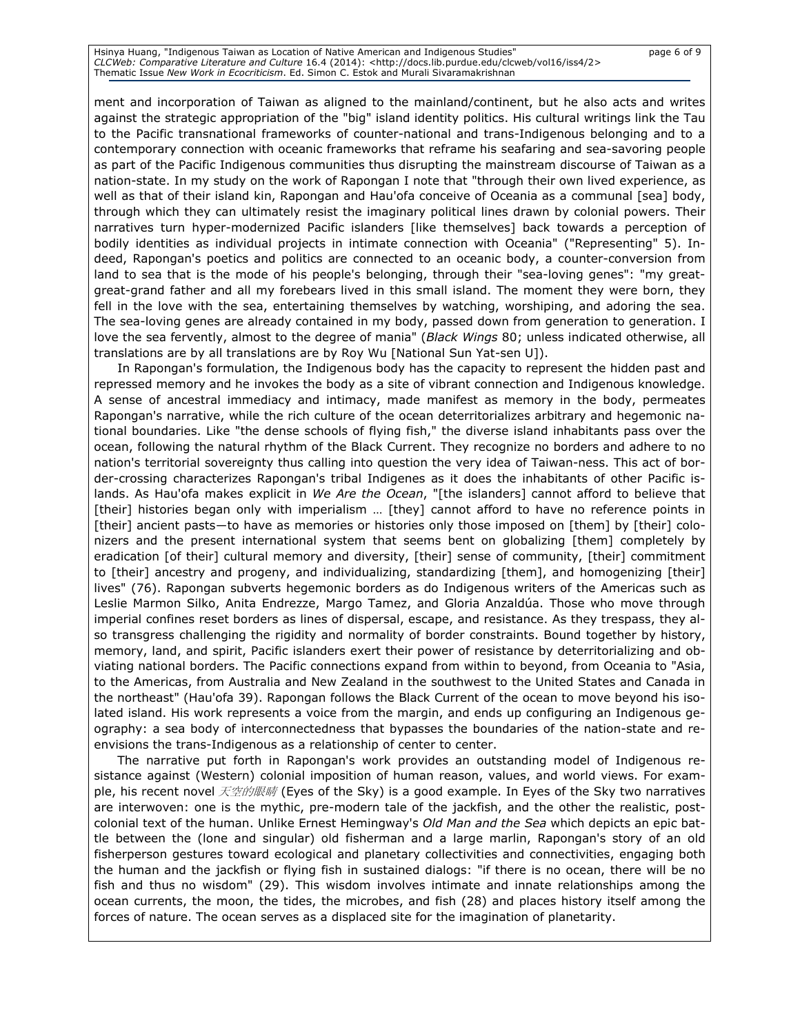Hsinya Huang, "Indigenous Taiwan as Location of Native American and Indigenous Studies" page 6 of 9 CLCWeb: Comparative Literature and Culture 16.4 (2014): <http://docs.lib.purdue.edu/clcweb/vol16/iss4/2> Thematic Issue New Work in Ecocriticism. Ed. Simon C. Estok and Murali Sivaramakrishnan

ment and incorporation of Taiwan as aligned to the mainland/continent, but he also acts and writes against the strategic appropriation of the "big" island identity politics. His cultural writings link the Tau to the Pacific transnational frameworks of counter-national and trans-Indigenous belonging and to a contemporary connection with oceanic frameworks that reframe his seafaring and sea-savoring people as part of the Pacific Indigenous communities thus disrupting the mainstream discourse of Taiwan as a nation-state. In my study on the work of Rapongan I note that "through their own lived experience, as well as that of their island kin, Rapongan and Hau'ofa conceive of Oceania as a communal [sea] body, through which they can ultimately resist the imaginary political lines drawn by colonial powers. Their narratives turn hyper-modernized Pacific islanders [like themselves] back towards a perception of bodily identities as individual projects in intimate connection with Oceania" ("Representing" 5). Indeed, Rapongan's poetics and politics are connected to an oceanic body, a counter-conversion from land to sea that is the mode of his people's belonging, through their "sea-loving genes": "my greatgreat-grand father and all my forebears lived in this small island. The moment they were born, they fell in the love with the sea, entertaining themselves by watching, worshiping, and adoring the sea. The sea-loving genes are already contained in my body, passed down from generation to generation. I love the sea fervently, almost to the degree of mania" (Black Wings 80; unless indicated otherwise, all translations are by all translations are by Roy Wu [National Sun Yat-sen U]).

In Rapongan's formulation, the Indigenous body has the capacity to represent the hidden past and repressed memory and he invokes the body as a site of vibrant connection and Indigenous knowledge. A sense of ancestral immediacy and intimacy, made manifest as memory in the body, permeates Rapongan's narrative, while the rich culture of the ocean deterritorializes arbitrary and hegemonic national boundaries. Like "the dense schools of flying fish," the diverse island inhabitants pass over the ocean, following the natural rhythm of the Black Current. They recognize no borders and adhere to no nation's territorial sovereignty thus calling into question the very idea of Taiwan-ness. This act of border-crossing characterizes Rapongan's tribal Indigenes as it does the inhabitants of other Pacific islands. As Hau'ofa makes explicit in We Are the Ocean, "[the islanders] cannot afford to believe that [their] histories began only with imperialism … [they] cannot afford to have no reference points in [their] ancient pasts—to have as memories or histories only those imposed on [them] by [their] colonizers and the present international system that seems bent on globalizing [them] completely by eradication [of their] cultural memory and diversity, [their] sense of community, [their] commitment to [their] ancestry and progeny, and individualizing, standardizing [them], and homogenizing [their] lives" (76). Rapongan subverts hegemonic borders as do Indigenous writers of the Americas such as Leslie Marmon Silko, Anita Endrezze, Margo Tamez, and Gloria Anzaldúa. Those who move through imperial confines reset borders as lines of dispersal, escape, and resistance. As they trespass, they also transgress challenging the rigidity and normality of border constraints. Bound together by history, memory, land, and spirit, Pacific islanders exert their power of resistance by deterritorializing and obviating national borders. The Pacific connections expand from within to beyond, from Oceania to "Asia, to the Americas, from Australia and New Zealand in the southwest to the United States and Canada in the northeast" (Hau'ofa 39). Rapongan follows the Black Current of the ocean to move beyond his isolated island. His work represents a voice from the margin, and ends up configuring an Indigenous geography: a sea body of interconnectedness that bypasses the boundaries of the nation-state and reenvisions the trans-Indigenous as a relationship of center to center.

The narrative put forth in Rapongan's work provides an outstanding model of Indigenous resistance against (Western) colonial imposition of human reason, values, and world views. For example, his recent novel  $\bar{\mathcal{H}}\bar{\mathcal{L}}\bar{\mathcal{B}}\bar{\mathcal{H}}\bar{\mathcal{H}}\bar{\mathcal{H}}$  (Eyes of the Sky) is a good example. In Eyes of the Sky two narratives are interwoven: one is the mythic, pre-modern tale of the jackfish, and the other the realistic, postcolonial text of the human. Unlike Ernest Hemingway's Old Man and the Sea which depicts an epic battle between the (lone and singular) old fisherman and a large marlin, Rapongan's story of an old fisherperson gestures toward ecological and planetary collectivities and connectivities, engaging both the human and the jackfish or flying fish in sustained dialogs: "if there is no ocean, there will be no fish and thus no wisdom" (29). This wisdom involves intimate and innate relationships among the ocean currents, the moon, the tides, the microbes, and fish (28) and places history itself among the forces of nature. The ocean serves as a displaced site for the imagination of planetarity.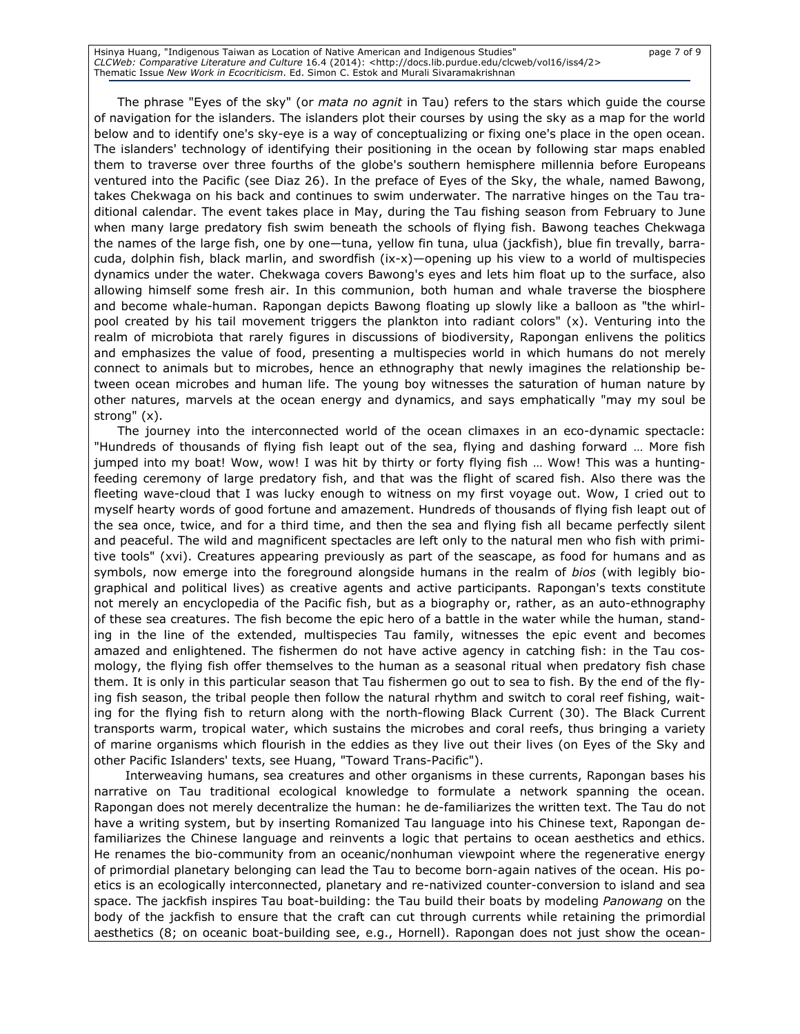Hsinya Huang, "Indigenous Taiwan as Location of Native American and Indigenous Studies" page 7 of 9 CLCWeb: Comparative Literature and Culture 16.4 (2014): <http://docs.lib.purdue.edu/clcweb/vol16/iss4/2> Thematic Issue New Work in Ecocriticism. Ed. Simon C. Estok and Murali Sivaramakrishnan

The phrase "Eyes of the sky" (or *mata no agnit* in Tau) refers to the stars which guide the course of navigation for the islanders. The islanders plot their courses by using the sky as a map for the world below and to identify one's sky-eye is a way of conceptualizing or fixing one's place in the open ocean. The islanders' technology of identifying their positioning in the ocean by following star maps enabled them to traverse over three fourths of the globe's southern hemisphere millennia before Europeans ventured into the Pacific (see Diaz 26). In the preface of Eyes of the Sky, the whale, named Bawong, takes Chekwaga on his back and continues to swim underwater. The narrative hinges on the Tau traditional calendar. The event takes place in May, during the Tau fishing season from February to June when many large predatory fish swim beneath the schools of flying fish. Bawong teaches Chekwaga the names of the large fish, one by one—tuna, yellow fin tuna, ulua (jackfish), blue fin trevally, barracuda, dolphin fish, black marlin, and swordfish (ix-x)—opening up his view to a world of multispecies dynamics under the water. Chekwaga covers Bawong's eyes and lets him float up to the surface, also allowing himself some fresh air. In this communion, both human and whale traverse the biosphere and become whale-human. Rapongan depicts Bawong floating up slowly like a balloon as "the whirlpool created by his tail movement triggers the plankton into radiant colors" (x). Venturing into the realm of microbiota that rarely figures in discussions of biodiversity, Rapongan enlivens the politics and emphasizes the value of food, presenting a multispecies world in which humans do not merely connect to animals but to microbes, hence an ethnography that newly imagines the relationship between ocean microbes and human life. The young boy witnesses the saturation of human nature by other natures, marvels at the ocean energy and dynamics, and says emphatically "may my soul be strong" (x).

The journey into the interconnected world of the ocean climaxes in an eco-dynamic spectacle: "Hundreds of thousands of flying fish leapt out of the sea, flying and dashing forward … More fish jumped into my boat! Wow, wow! I was hit by thirty or forty flying fish … Wow! This was a huntingfeeding ceremony of large predatory fish, and that was the flight of scared fish. Also there was the fleeting wave-cloud that I was lucky enough to witness on my first voyage out. Wow, I cried out to myself hearty words of good fortune and amazement. Hundreds of thousands of flying fish leapt out of the sea once, twice, and for a third time, and then the sea and flying fish all became perfectly silent and peaceful. The wild and magnificent spectacles are left only to the natural men who fish with primitive tools" (xvi). Creatures appearing previously as part of the seascape, as food for humans and as symbols, now emerge into the foreground alongside humans in the realm of bios (with legibly biographical and political lives) as creative agents and active participants. Rapongan's texts constitute not merely an encyclopedia of the Pacific fish, but as a biography or, rather, as an auto-ethnography of these sea creatures. The fish become the epic hero of a battle in the water while the human, standing in the line of the extended, multispecies Tau family, witnesses the epic event and becomes amazed and enlightened. The fishermen do not have active agency in catching fish: in the Tau cosmology, the flying fish offer themselves to the human as a seasonal ritual when predatory fish chase them. It is only in this particular season that Tau fishermen go out to sea to fish. By the end of the flying fish season, the tribal people then follow the natural rhythm and switch to coral reef fishing, waiting for the flying fish to return along with the north-flowing Black Current (30). The Black Current transports warm, tropical water, which sustains the microbes and coral reefs, thus bringing a variety of marine organisms which flourish in the eddies as they live out their lives (on Eyes of the Sky and other Pacific Islanders' texts, see Huang, "Toward Trans-Pacific").

Interweaving humans, sea creatures and other organisms in these currents, Rapongan bases his narrative on Tau traditional ecological knowledge to formulate a network spanning the ocean. Rapongan does not merely decentralize the human: he de-familiarizes the written text. The Tau do not have a writing system, but by inserting Romanized Tau language into his Chinese text, Rapongan defamiliarizes the Chinese language and reinvents a logic that pertains to ocean aesthetics and ethics. He renames the bio-community from an oceanic/nonhuman viewpoint where the regenerative energy of primordial planetary belonging can lead the Tau to become born-again natives of the ocean. His poetics is an ecologically interconnected, planetary and re-nativized counter-conversion to island and sea space. The jackfish inspires Tau boat-building: the Tau build their boats by modeling *Panowang* on the body of the jackfish to ensure that the craft can cut through currents while retaining the primordial aesthetics (8; on oceanic boat-building see, e.g., Hornell). Rapongan does not just show the ocean-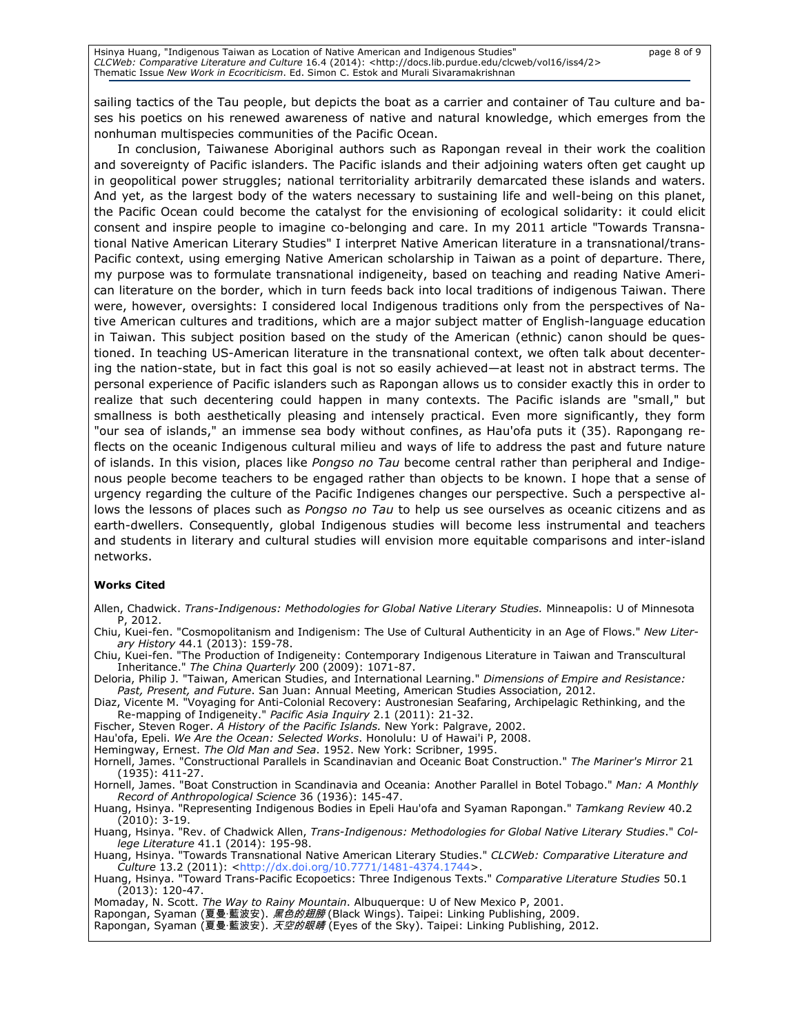sailing tactics of the Tau people, but depicts the boat as a carrier and container of Tau culture and bases his poetics on his renewed awareness of native and natural knowledge, which emerges from the nonhuman multispecies communities of the Pacific Ocean.

In conclusion, Taiwanese Aboriginal authors such as Rapongan reveal in their work the coalition and sovereignty of Pacific islanders. The Pacific islands and their adjoining waters often get caught up in geopolitical power struggles; national territoriality arbitrarily demarcated these islands and waters. And yet, as the largest body of the waters necessary to sustaining life and well-being on this planet, the Pacific Ocean could become the catalyst for the envisioning of ecological solidarity: it could elicit consent and inspire people to imagine co-belonging and care. In my 2011 article "Towards Transnational Native American Literary Studies" I interpret Native American literature in a transnational/trans-Pacific context, using emerging Native American scholarship in Taiwan as a point of departure. There, my purpose was to formulate transnational indigeneity, based on teaching and reading Native American literature on the border, which in turn feeds back into local traditions of indigenous Taiwan. There were, however, oversights: I considered local Indigenous traditions only from the perspectives of Native American cultures and traditions, which are a major subject matter of English-language education in Taiwan. This subject position based on the study of the American (ethnic) canon should be questioned. In teaching US-American literature in the transnational context, we often talk about decentering the nation-state, but in fact this goal is not so easily achieved—at least not in abstract terms. The personal experience of Pacific islanders such as Rapongan allows us to consider exactly this in order to realize that such decentering could happen in many contexts. The Pacific islands are "small," but smallness is both aesthetically pleasing and intensely practical. Even more significantly, they form "our sea of islands," an immense sea body without confines, as Hau'ofa puts it (35). Rapongang reflects on the oceanic Indigenous cultural milieu and ways of life to address the past and future nature of islands. In this vision, places like Pongso no Tau become central rather than peripheral and Indigenous people become teachers to be engaged rather than objects to be known. I hope that a sense of urgency regarding the culture of the Pacific Indigenes changes our perspective. Such a perspective allows the lessons of places such as Pongso no Tau to help us see ourselves as oceanic citizens and as earth-dwellers. Consequently, global Indigenous studies will become less instrumental and teachers and students in literary and cultural studies will envision more equitable comparisons and inter-island networks.

#### Works Cited

- Allen, Chadwick. Trans-Indigenous: Methodologies for Global Native Literary Studies. Minneapolis: U of Minnesota P, 2012.
- Chiu, Kuei-fen. "Cosmopolitanism and Indigenism: The Use of Cultural Authenticity in an Age of Flows." New Literary History 44.1 (2013): 159-78.
- Chiu, Kuei-fen. "The Production of Indigeneity: Contemporary Indigenous Literature in Taiwan and Transcultural Inheritance." The China Quarterly 200 (2009): 1071-87.
- Deloria, Philip J. "Taiwan, American Studies, and International Learning." Dimensions of Empire and Resistance: Past, Present, and Future. San Juan: Annual Meeting, American Studies Association, 2012.
- Diaz, Vicente M. "Voyaging for Anti-Colonial Recovery: Austronesian Seafaring, Archipelagic Rethinking, and the Re-mapping of Indigeneity." Pacific Asia Inquiry 2.1 (2011): 21-32.
- Fischer, Steven Roger. A History of the Pacific Islands. New York: Palgrave, 2002.
- Hau'ofa, Epeli. We Are the Ocean: Selected Works. Honolulu: U of Hawai'i P, 2008.
- Hemingway, Ernest. The Old Man and Sea. 1952. New York: Scribner, 1995.
- Hornell, James. "Constructional Parallels in Scandinavian and Oceanic Boat Construction." The Mariner's Mirror 21 (1935): 411-27.
- Hornell, James. "Boat Construction in Scandinavia and Oceania: Another Parallel in Botel Tobago." Man: A Monthly Record of Anthropological Science 36 (1936): 145-47.
- Huang, Hsinya. "Representing Indigenous Bodies in Epeli Hau'ofa and Syaman Rapongan." Tamkang Review 40.2 (2010): 3-19.
- Huang, Hsinya. "Rev. of Chadwick Allen, Trans-Indigenous: Methodologies for Global Native Literary Studies." College Literature 41.1 (2014): 195-98.
- Huang, Hsinya. "Towards Transnational Native American Literary Studies." CLCWeb: Comparative Literature and Culture 13.2 (2011): <http://dx.doi.org/10.7771/1481-4374.1744>.
- Huang, Hsinya. "Toward Trans-Pacific Ecopoetics: Three Indigenous Texts." Comparative Literature Studies 50.1 (2013): 120-47.
- Momaday, N. Scott. The Way to Rainy Mountain. Albuquerque: U of New Mexico P, 2001.
- Rapongan, Syaman (夏曼·藍波安). *黑色的翅膀* (Black Wings). Taipei: Linking Publishing, 2009.
- Rapongan, Syaman (夏曼·藍波安). *天空的眼睛* (Eyes of the Sky). Taipei: Linking Publishing, 2012.